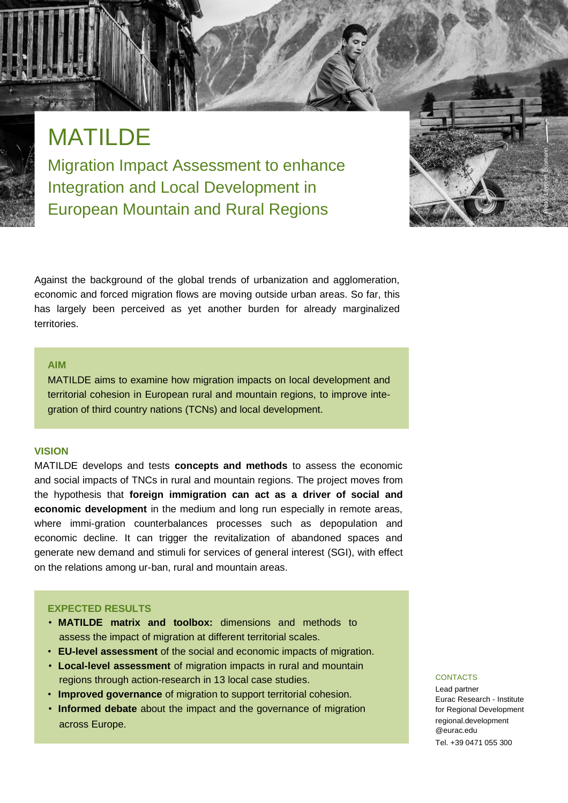# MATILDE

Migration Impact Assessment to enhance Integration and Local Development in European Mountain and Rural Regions

Against the background of the global trends of urbanization and agglomeration, economic and forced migration flows are moving outside urban areas. So far, this has largely been perceived as yet another burden for already marginalized territories.

#### **AIM**

MATILDE aims to examine how migration impacts on local development and territorial cohesion in European rural and mountain regions, to improve integration of third country nations (TCNs) and local development.

#### **VISION**

MATILDE develops and tests **concepts and methods** to assess the economic and social impacts of TNCs in rural and mountain regions. The project moves from the hypothesis that **foreign immigration can act as a driver of social and economic development** in the medium and long run especially in remote areas, where immi-gration counterbalances processes such as depopulation and economic decline. It can trigger the revitalization of abandoned spaces and generate new demand and stimuli for services of general interest (SGI), with effect on the relations among ur-ban, rural and mountain areas.

#### **EXPECTED RESULTS**

- **MATILDE matrix and toolbox:** dimensions and methods to assess the impact of migration at different territorial scales.
- **EU-level assessment** of the social and economic impacts of migration.
- **Local-level assessment** of migration impacts in rural and mountain regions through action-research in 13 local case studies.
- **Improved governance** of migration to support territorial cohesion.
- **Informed debate** about the impact and the governance of migration across Europe.

#### **CONTACTS**

Lead partner Eurac Research - Institute for Regional Development regional.development @eurac.edu Tel. +39 0471 055 300

Photo: Lavonne Bosmann